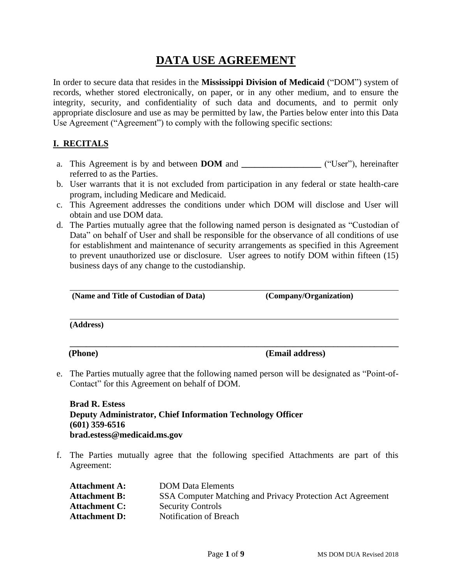# **DATA USE AGREEMENT**

In order to secure data that resides in the **Mississippi Division of Medicaid** ("DOM") system of records, whether stored electronically, on paper, or in any other medium, and to ensure the integrity, security, and confidentiality of such data and documents, and to permit only appropriate disclosure and use as may be permitted by law, the Parties below enter into this Data Use Agreement ("Agreement") to comply with the following specific sections:

#### **I. RECITALS**

- a. This Agreement is by and between **DOM** and **\_\_\_\_\_\_\_\_\_\_\_\_\_\_\_\_\_\_** ("User"), hereinafter referred to as the Parties.
- b. User warrants that it is not excluded from participation in any federal or state health-care program, including Medicare and Medicaid.
- c. This Agreement addresses the conditions under which DOM will disclose and User will obtain and use DOM data.
- d. The Parties mutually agree that the following named person is designated as "Custodian of Data" on behalf of User and shall be responsible for the observance of all conditions of use for establishment and maintenance of security arrangements as specified in this Agreement to prevent unauthorized use or disclosure. User agrees to notify DOM within fifteen (15) business days of any change to the custodianship.

| (Name and Title of Custodian of Data)                                                                                                           | (Company/Organization) |
|-------------------------------------------------------------------------------------------------------------------------------------------------|------------------------|
| (Address)                                                                                                                                       |                        |
| (Phone)                                                                                                                                         | (Email address)        |
| e. The Parties mutually agree that the following named person will be designated as "Point-of-<br>Contact" for this Agreement on behalf of DOM. |                        |
|                                                                                                                                                 |                        |

**Brad R. Estess Deputy Administrator, Chief Information Technology Officer (601) 359-6516 brad.estess@medicaid.ms.gov**

f. The Parties mutually agree that the following specified Attachments are part of this Agreement:

| <b>Attachment A:</b> | <b>DOM Data Elements</b>                                   |
|----------------------|------------------------------------------------------------|
| <b>Attachment B:</b> | SSA Computer Matching and Privacy Protection Act Agreement |
| <b>Attachment C:</b> | <b>Security Controls</b>                                   |
| <b>Attachment D:</b> | Notification of Breach                                     |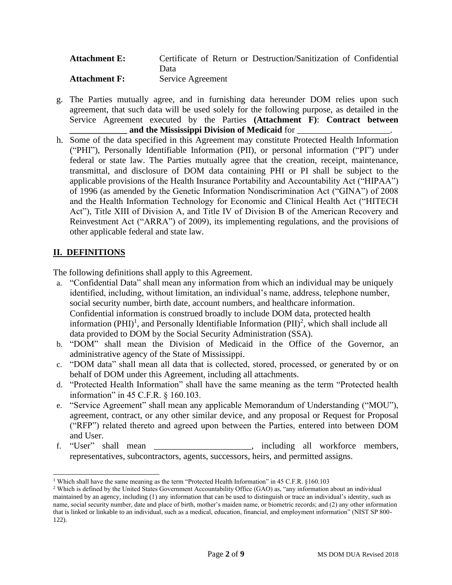| <b>Attachment E:</b> | Certificate of Return or Destruction/Sanitization of Confidential |
|----------------------|-------------------------------------------------------------------|
|                      | Data                                                              |
| <b>Attachment F:</b> | Service Agreement                                                 |

- g. The Parties mutually agree, and in furnishing data hereunder DOM relies upon such agreement, that such data will be used solely for the following purpose, as detailed in the Service Agreement executed by the Parties **(Attachment F)**: **Contract between** and the Mississippi Division of Medicaid for
- h. Some of the data specified in this Agreement may constitute Protected Health Information ("PHI"), Personally Identifiable Information (PII), or personal information ("PI") under federal or state law. The Parties mutually agree that the creation, receipt, maintenance, transmittal, and disclosure of DOM data containing PHI or PI shall be subject to the applicable provisions of the Health Insurance Portability and Accountability Act ("HIPAA") of 1996 (as amended by the Genetic Information Nondiscrimination Act ("GINA") of 2008 and the Health Information Technology for Economic and Clinical Health Act ("HITECH Act"), Title XIII of Division A, and Title IV of Division B of the American Recovery and Reinvestment Act ("ARRA") of 2009), its implementing regulations, and the provisions of other applicable federal and state law.

### **II. DEFINITIONS**

The following definitions shall apply to this Agreement.

- a. "Confidential Data" shall mean any information from which an individual may be uniquely identified, including, without limitation, an individual's name, address, telephone number, social security number, birth date, account numbers, and healthcare information. Confidential information is construed broadly to include DOM data, protected health information  $(PHI)^1$ , and Personally Identifiable Information  $(PII)^2$ , which shall include all data provided to DOM by the Social Security Administration (SSA).
- b. "DOM" shall mean the Division of Medicaid in the Office of the Governor, an administrative agency of the State of Mississippi.
- c. "DOM data" shall mean all data that is collected, stored, processed, or generated by or on behalf of DOM under this Agreement, including all attachments.
- d. "Protected Health Information" shall have the same meaning as the term "Protected health information" in 45 C.F.R. § 160.103.
- e. "Service Agreement" shall mean any applicable Memorandum of Understanding ("MOU"), agreement, contract, or any other similar device, and any proposal or Request for Proposal ("RFP") related thereto and agreed upon between the Parties, entered into between DOM and User.
- f. "User" shall mean \_\_\_\_\_\_\_\_\_\_\_\_\_\_\_\_\_\_\_\_\_\_, including all workforce members, representatives, subcontractors, agents, successors, heirs, and permitted assigns.

<sup>1</sup> Which shall have the same meaning as the term "Protected Health Information" in 45 C.F.R. §160.103

<sup>&</sup>lt;sup>2</sup> Which is defined by the United States Government Accountability Office (GAO) as, "any information about an individual maintained by an agency, including (1) any information that can be used to distinguish or trace an individual's identity, such as name, social security number, date and place of birth, mother's maiden name, or biometric records; and (2) any other information that is linked or linkable to an individual, such as a medical, education, financial, and employment information" (NIST SP 800- 122).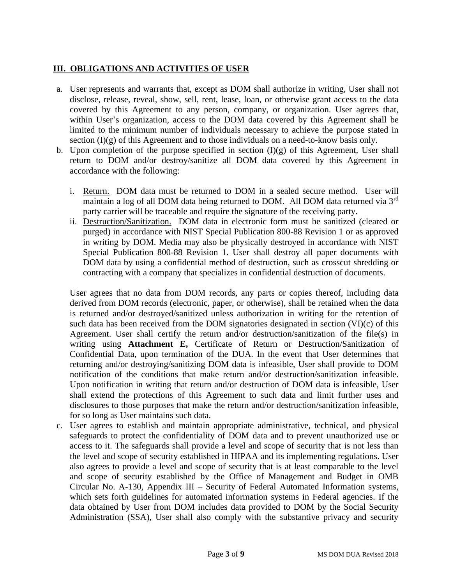#### **III. OBLIGATIONS AND ACTIVITIES OF USER**

- a. User represents and warrants that, except as DOM shall authorize in writing, User shall not disclose, release, reveal, show, sell, rent, lease, loan, or otherwise grant access to the data covered by this Agreement to any person, company, or organization. User agrees that, within User's organization, access to the DOM data covered by this Agreement shall be limited to the minimum number of individuals necessary to achieve the purpose stated in section  $(I)(g)$  of this Agreement and to those individuals on a need-to-know basis only.
- b. Upon completion of the purpose specified in section  $(I)(g)$  of this Agreement, User shall return to DOM and/or destroy/sanitize all DOM data covered by this Agreement in accordance with the following:
	- i. Return. DOM data must be returned to DOM in a sealed secure method. User will maintain a log of all DOM data being returned to DOM. All DOM data returned via 3<sup>rd</sup> party carrier will be traceable and require the signature of the receiving party.
	- ii. Destruction/Sanitization. DOM data in electronic form must be sanitized (cleared or purged) in accordance with NIST Special Publication 800-88 Revision 1 or as approved in writing by DOM. Media may also be physically destroyed in accordance with NIST Special Publication 800-88 Revision 1. User shall destroy all paper documents with DOM data by using a confidential method of destruction, such as crosscut shredding or contracting with a company that specializes in confidential destruction of documents.

User agrees that no data from DOM records, any parts or copies thereof, including data derived from DOM records (electronic, paper, or otherwise), shall be retained when the data is returned and/or destroyed/sanitized unless authorization in writing for the retention of such data has been received from the DOM signatories designated in section (VI)(c) of this Agreement. User shall certify the return and/or destruction/sanitization of the file(s) in writing using **Attachment E,** Certificate of Return or Destruction/Sanitization of Confidential Data, upon termination of the DUA. In the event that User determines that returning and/or destroying/sanitizing DOM data is infeasible, User shall provide to DOM notification of the conditions that make return and/or destruction/sanitization infeasible. Upon notification in writing that return and/or destruction of DOM data is infeasible, User shall extend the protections of this Agreement to such data and limit further uses and disclosures to those purposes that make the return and/or destruction/sanitization infeasible, for so long as User maintains such data.

c. User agrees to establish and maintain appropriate administrative, technical, and physical safeguards to protect the confidentiality of DOM data and to prevent unauthorized use or access to it. The safeguards shall provide a level and scope of security that is not less than the level and scope of security established in HIPAA and its implementing regulations. User also agrees to provide a level and scope of security that is at least comparable to the level and scope of security established by the Office of Management and Budget in OMB Circular No. A-130, Appendix III – Security of Federal Automated Information systems, which sets forth guidelines for automated information systems in Federal agencies. If the data obtained by User from DOM includes data provided to DOM by the Social Security Administration (SSA), User shall also comply with the substantive privacy and security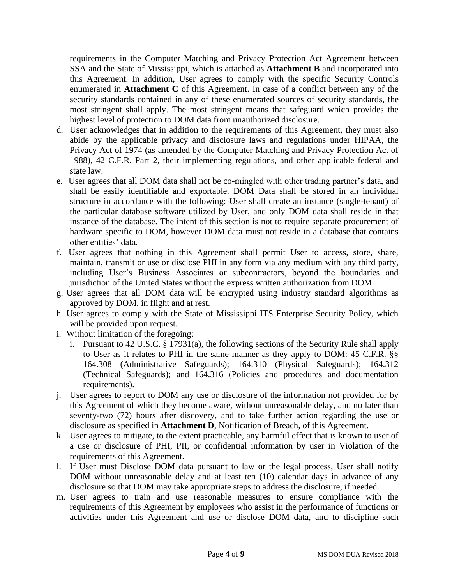requirements in the Computer Matching and Privacy Protection Act Agreement between SSA and the State of Mississippi, which is attached as **Attachment B** and incorporated into this Agreement. In addition, User agrees to comply with the specific Security Controls enumerated in **Attachment C** of this Agreement. In case of a conflict between any of the security standards contained in any of these enumerated sources of security standards, the most stringent shall apply. The most stringent means that safeguard which provides the highest level of protection to DOM data from unauthorized disclosure.

- d. User acknowledges that in addition to the requirements of this Agreement, they must also abide by the applicable privacy and disclosure laws and regulations under HIPAA, the Privacy Act of 1974 (as amended by the Computer Matching and Privacy Protection Act of 1988), 42 C.F.R. Part 2, their implementing regulations, and other applicable federal and state law.
- e. User agrees that all DOM data shall not be co-mingled with other trading partner's data, and shall be easily identifiable and exportable. DOM Data shall be stored in an individual structure in accordance with the following: User shall create an instance (single-tenant) of the particular database software utilized by User, and only DOM data shall reside in that instance of the database. The intent of this section is not to require separate procurement of hardware specific to DOM, however DOM data must not reside in a database that contains other entities' data.
- f. User agrees that nothing in this Agreement shall permit User to access, store, share, maintain, transmit or use or disclose PHI in any form via any medium with any third party, including User's Business Associates or subcontractors, beyond the boundaries and jurisdiction of the United States without the express written authorization from DOM.
- g. User agrees that all DOM data will be encrypted using industry standard algorithms as approved by DOM, in flight and at rest.
- h. User agrees to comply with the State of Mississippi ITS Enterprise Security Policy, which will be provided upon request.
- i. Without limitation of the foregoing:
	- i. Pursuant to 42 U.S.C. § 17931(a), the following sections of the Security Rule shall apply to User as it relates to PHI in the same manner as they apply to DOM: 45 C.F.R. §§ 164.308 (Administrative Safeguards); 164.310 (Physical Safeguards); 164.312 (Technical Safeguards); and 164.316 (Policies and procedures and documentation requirements).
- j. User agrees to report to DOM any use or disclosure of the information not provided for by this Agreement of which they become aware, without unreasonable delay, and no later than seventy-two (72) hours after discovery, and to take further action regarding the use or disclosure as specified in **Attachment D**, Notification of Breach, of this Agreement.
- k. User agrees to mitigate, to the extent practicable, any harmful effect that is known to user of a use or disclosure of PHI, PII, or confidential information by user in Violation of the requirements of this Agreement.
- l. If User must Disclose DOM data pursuant to law or the legal process, User shall notify DOM without unreasonable delay and at least ten (10) calendar days in advance of any disclosure so that DOM may take appropriate steps to address the disclosure, if needed.
- m. User agrees to train and use reasonable measures to ensure compliance with the requirements of this Agreement by employees who assist in the performance of functions or activities under this Agreement and use or disclose DOM data, and to discipline such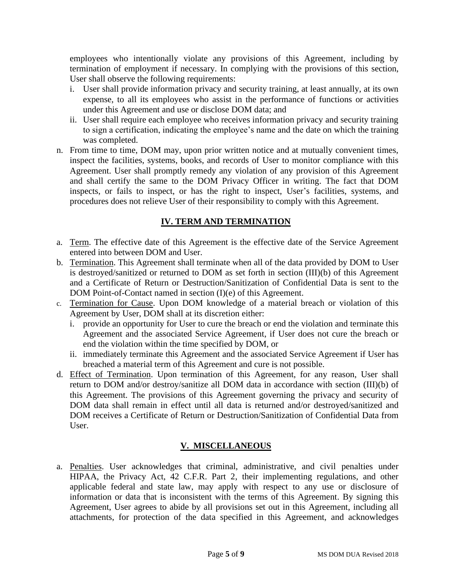employees who intentionally violate any provisions of this Agreement, including by termination of employment if necessary. In complying with the provisions of this section, User shall observe the following requirements:

- i. User shall provide information privacy and security training, at least annually, at its own expense, to all its employees who assist in the performance of functions or activities under this Agreement and use or disclose DOM data; and
- ii. User shall require each employee who receives information privacy and security training to sign a certification, indicating the employee's name and the date on which the training was completed.
- n. From time to time, DOM may, upon prior written notice and at mutually convenient times, inspect the facilities, systems, books, and records of User to monitor compliance with this Agreement. User shall promptly remedy any violation of any provision of this Agreement and shall certify the same to the DOM Privacy Officer in writing. The fact that DOM inspects, or fails to inspect, or has the right to inspect, User's facilities, systems, and procedures does not relieve User of their responsibility to comply with this Agreement.

### **IV. TERM AND TERMINATION**

- a. Term. The effective date of this Agreement is the effective date of the Service Agreement entered into between DOM and User.
- b. Termination. This Agreement shall terminate when all of the data provided by DOM to User is destroyed/sanitized or returned to DOM as set forth in section (III)(b) of this Agreement and a Certificate of Return or Destruction/Sanitization of Confidential Data is sent to the DOM Point-of-Contact named in section (I)(e) of this Agreement.
- c. Termination for Cause. Upon DOM knowledge of a material breach or violation of this Agreement by User, DOM shall at its discretion either:
	- i. provide an opportunity for User to cure the breach or end the violation and terminate this Agreement and the associated Service Agreement, if User does not cure the breach or end the violation within the time specified by DOM, or
	- ii. immediately terminate this Agreement and the associated Service Agreement if User has breached a material term of this Agreement and cure is not possible.
- d. Effect of Termination. Upon termination of this Agreement, for any reason, User shall return to DOM and/or destroy/sanitize all DOM data in accordance with section (III)(b) of this Agreement. The provisions of this Agreement governing the privacy and security of DOM data shall remain in effect until all data is returned and/or destroyed/sanitized and DOM receives a Certificate of Return or Destruction/Sanitization of Confidential Data from User.

## **V. MISCELLANEOUS**

a. Penalties. User acknowledges that criminal, administrative, and civil penalties under HIPAA, the Privacy Act, 42 C.F.R. Part 2, their implementing regulations, and other applicable federal and state law, may apply with respect to any use or disclosure of information or data that is inconsistent with the terms of this Agreement. By signing this Agreement, User agrees to abide by all provisions set out in this Agreement, including all attachments, for protection of the data specified in this Agreement, and acknowledges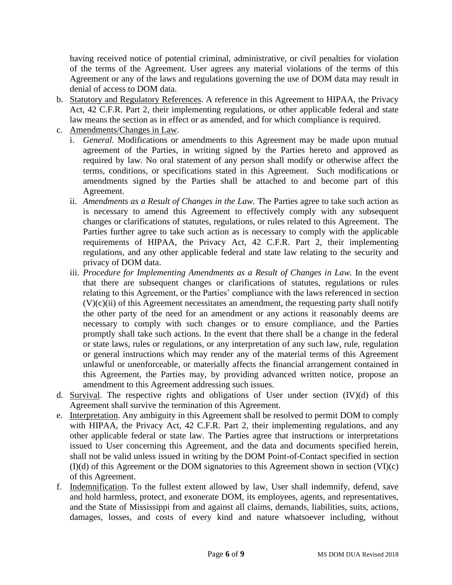having received notice of potential criminal, administrative, or civil penalties for violation of the terms of the Agreement. User agrees any material violations of the terms of this Agreement or any of the laws and regulations governing the use of DOM data may result in denial of access to DOM data.

- b. Statutory and Regulatory References. A reference in this Agreement to HIPAA, the Privacy Act, 42 C.F.R. Part 2, their implementing regulations, or other applicable federal and state law means the section as in effect or as amended, and for which compliance is required.
- c. Amendments/Changes in Law.
	- i. *General.* Modifications or amendments to this Agreement may be made upon mutual agreement of the Parties, in writing signed by the Parties hereto and approved as required by law. No oral statement of any person shall modify or otherwise affect the terms, conditions, or specifications stated in this Agreement. Such modifications or amendments signed by the Parties shall be attached to and become part of this Agreement.
	- ii. *Amendments as a Result of Changes in the Law.* The Parties agree to take such action as is necessary to amend this Agreement to effectively comply with any subsequent changes or clarifications of statutes, regulations, or rules related to this Agreement. The Parties further agree to take such action as is necessary to comply with the applicable requirements of HIPAA, the Privacy Act, 42 C.F.R. Part 2, their implementing regulations, and any other applicable federal and state law relating to the security and privacy of DOM data.
	- iii. *Procedure for Implementing Amendments as a Result of Changes in Law.* In the event that there are subsequent changes or clarifications of statutes, regulations or rules relating to this Agreement, or the Parties' compliance with the laws referenced in section  $(V)(c)(ii)$  of this Agreement necessitates an amendment, the requesting party shall notify the other party of the need for an amendment or any actions it reasonably deems are necessary to comply with such changes or to ensure compliance, and the Parties promptly shall take such actions. In the event that there shall be a change in the federal or state laws, rules or regulations, or any interpretation of any such law, rule, regulation or general instructions which may render any of the material terms of this Agreement unlawful or unenforceable, or materially affects the financial arrangement contained in this Agreement, the Parties may, by providing advanced written notice, propose an amendment to this Agreement addressing such issues.
- d. Survival. The respective rights and obligations of User under section (IV)(d) of this Agreement shall survive the termination of this Agreement.
- e. Interpretation. Any ambiguity in this Agreement shall be resolved to permit DOM to comply with HIPAA, the Privacy Act, 42 C.F.R. Part 2, their implementing regulations, and any other applicable federal or state law. The Parties agree that instructions or interpretations issued to User concerning this Agreement, and the data and documents specified herein, shall not be valid unless issued in writing by the DOM Point-of-Contact specified in section (I)(d) of this Agreement or the DOM signatories to this Agreement shown in section (VI)(c) of this Agreement.
- f. Indemnification. To the fullest extent allowed by law, User shall indemnify, defend, save and hold harmless, protect, and exonerate DOM, its employees, agents, and representatives, and the State of Mississippi from and against all claims, demands, liabilities, suits, actions, damages, losses, and costs of every kind and nature whatsoever including, without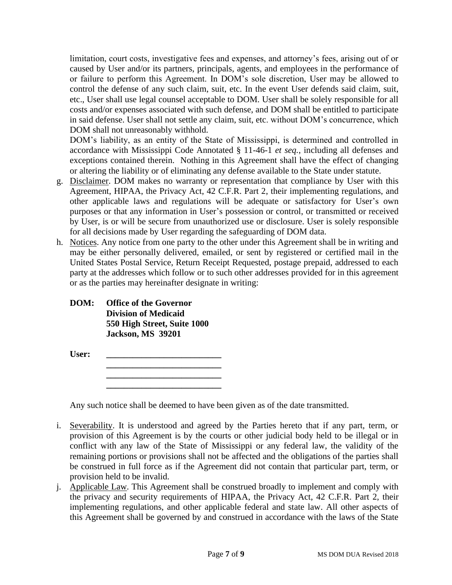limitation, court costs, investigative fees and expenses, and attorney's fees, arising out of or caused by User and/or its partners, principals, agents, and employees in the performance of or failure to perform this Agreement. In DOM's sole discretion, User may be allowed to control the defense of any such claim, suit, etc. In the event User defends said claim, suit, etc., User shall use legal counsel acceptable to DOM. User shall be solely responsible for all costs and/or expenses associated with such defense, and DOM shall be entitled to participate in said defense. User shall not settle any claim, suit, etc. without DOM's concurrence, which DOM shall not unreasonably withhold.

DOM's liability, as an entity of the State of Mississippi, is determined and controlled in accordance with Mississippi Code Annotated § 11-46-1 *et seq.*, including all defenses and exceptions contained therein. Nothing in this Agreement shall have the effect of changing or altering the liability or of eliminating any defense available to the State under statute.

- g. Disclaimer. DOM makes no warranty or representation that compliance by User with this Agreement, HIPAA, the Privacy Act, 42 C.F.R. Part 2, their implementing regulations, and other applicable laws and regulations will be adequate or satisfactory for User's own purposes or that any information in User's possession or control, or transmitted or received by User, is or will be secure from unauthorized use or disclosure. User is solely responsible for all decisions made by User regarding the safeguarding of DOM data.
- h. Notices. Any notice from one party to the other under this Agreement shall be in writing and may be either personally delivered, emailed, or sent by registered or certified mail in the United States Postal Service, Return Receipt Requested, postage prepaid, addressed to each party at the addresses which follow or to such other addresses provided for in this agreement or as the parties may hereinafter designate in writing:

#### **DOM: Office of the Governor Division of Medicaid 550 High Street, Suite 1000 Jackson, MS 39201**

**User: \_\_\_\_\_\_\_\_\_\_\_\_\_\_\_\_\_\_\_\_\_\_\_\_\_\_ \_\_\_\_\_\_\_\_\_\_\_\_\_\_\_\_\_\_\_\_\_\_\_\_\_\_**

> **\_\_\_\_\_\_\_\_\_\_\_\_\_\_\_\_\_\_\_\_\_\_\_\_\_\_ \_\_\_\_\_\_\_\_\_\_\_\_\_\_\_\_\_\_\_\_\_\_\_\_\_\_**

Any such notice shall be deemed to have been given as of the date transmitted.

- i. Severability. It is understood and agreed by the Parties hereto that if any part, term, or provision of this Agreement is by the courts or other judicial body held to be illegal or in conflict with any law of the State of Mississippi or any federal law, the validity of the remaining portions or provisions shall not be affected and the obligations of the parties shall be construed in full force as if the Agreement did not contain that particular part, term, or provision held to be invalid.
- j. Applicable Law. This Agreement shall be construed broadly to implement and comply with the privacy and security requirements of HIPAA, the Privacy Act, 42 C.F.R. Part 2, their implementing regulations, and other applicable federal and state law. All other aspects of this Agreement shall be governed by and construed in accordance with the laws of the State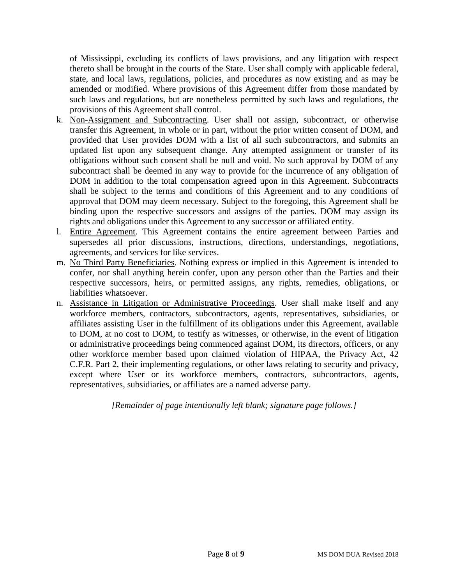of Mississippi, excluding its conflicts of laws provisions, and any litigation with respect thereto shall be brought in the courts of the State. User shall comply with applicable federal, state, and local laws, regulations, policies, and procedures as now existing and as may be amended or modified. Where provisions of this Agreement differ from those mandated by such laws and regulations, but are nonetheless permitted by such laws and regulations, the provisions of this Agreement shall control.

- k. Non-Assignment and Subcontracting. User shall not assign, subcontract, or otherwise transfer this Agreement, in whole or in part, without the prior written consent of DOM, and provided that User provides DOM with a list of all such subcontractors, and submits an updated list upon any subsequent change. Any attempted assignment or transfer of its obligations without such consent shall be null and void. No such approval by DOM of any subcontract shall be deemed in any way to provide for the incurrence of any obligation of DOM in addition to the total compensation agreed upon in this Agreement. Subcontracts shall be subject to the terms and conditions of this Agreement and to any conditions of approval that DOM may deem necessary. Subject to the foregoing, this Agreement shall be binding upon the respective successors and assigns of the parties. DOM may assign its rights and obligations under this Agreement to any successor or affiliated entity.
- l. Entire Agreement. This Agreement contains the entire agreement between Parties and supersedes all prior discussions, instructions, directions, understandings, negotiations, agreements, and services for like services.
- m. No Third Party Beneficiaries. Nothing express or implied in this Agreement is intended to confer, nor shall anything herein confer, upon any person other than the Parties and their respective successors, heirs, or permitted assigns, any rights, remedies, obligations, or liabilities whatsoever.
- n. Assistance in Litigation or Administrative Proceedings. User shall make itself and any workforce members, contractors, subcontractors, agents, representatives, subsidiaries, or affiliates assisting User in the fulfillment of its obligations under this Agreement, available to DOM, at no cost to DOM, to testify as witnesses, or otherwise, in the event of litigation or administrative proceedings being commenced against DOM, its directors, officers, or any other workforce member based upon claimed violation of HIPAA, the Privacy Act, 42 C.F.R. Part 2, their implementing regulations, or other laws relating to security and privacy, except where User or its workforce members, contractors, subcontractors, agents, representatives, subsidiaries, or affiliates are a named adverse party.

*[Remainder of page intentionally left blank; signature page follows.]*